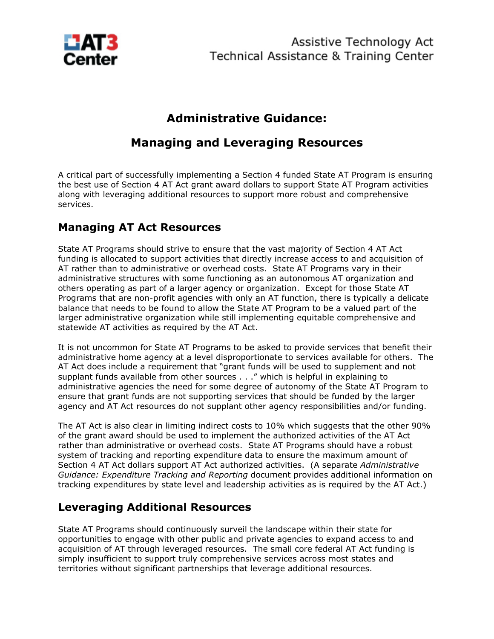

# **Administrative Guidance:**

# **Managing and Leveraging Resources**

A critical part of successfully implementing a Section 4 funded State AT Program is ensuring the best use of Section 4 AT Act grant award dollars to support State AT Program activities along with leveraging additional resources to support more robust and comprehensive services.

## **Managing AT Act Resources**

State AT Programs should strive to ensure that the vast majority of Section 4 AT Act funding is allocated to support activities that directly increase access to and acquisition of AT rather than to administrative or overhead costs. State AT Programs vary in their administrative structures with some functioning as an autonomous AT organization and others operating as part of a larger agency or organization. Except for those State AT Programs that are non-profit agencies with only an AT function, there is typically a delicate balance that needs to be found to allow the State AT Program to be a valued part of the larger administrative organization while still implementing equitable comprehensive and statewide AT activities as required by the AT Act.

It is not uncommon for State AT Programs to be asked to provide services that benefit their administrative home agency at a level disproportionate to services available for others. The AT Act does include a requirement that "grant funds will be used to supplement and not supplant funds available from other sources . . ." which is helpful in explaining to administrative agencies the need for some degree of autonomy of the State AT Program to ensure that grant funds are not supporting services that should be funded by the larger agency and AT Act resources do not supplant other agency responsibilities and/or funding.

The AT Act is also clear in limiting indirect costs to 10% which suggests that the other 90% of the grant award should be used to implement the authorized activities of the AT Act rather than administrative or overhead costs. State AT Programs should have a robust system of tracking and reporting expenditure data to ensure the maximum amount of Section 4 AT Act dollars support AT Act authorized activities. (A separate *Administrative Guidance: Expenditure Tracking and Reporting* document provides additional information on tracking expenditures by state level and leadership activities as is required by the AT Act.)

## **Leveraging Additional Resources**

State AT Programs should continuously surveil the landscape within their state for opportunities to engage with other public and private agencies to expand access to and acquisition of AT through leveraged resources. The small core federal AT Act funding is simply insufficient to support truly comprehensive services across most states and territories without significant partnerships that leverage additional resources.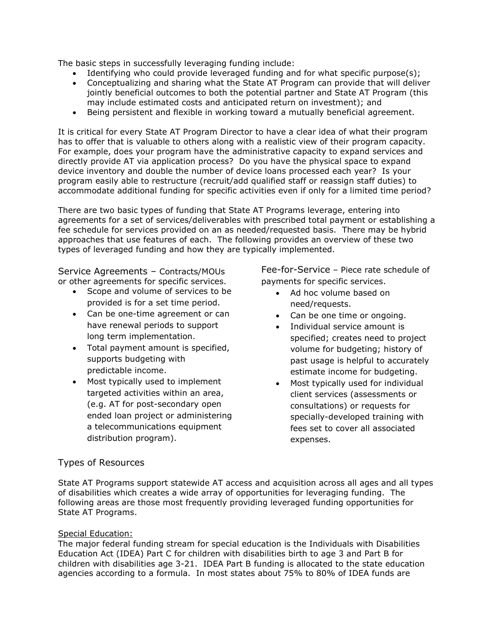The basic steps in successfully leveraging funding include:

- Identifying who could provide leveraged funding and for what specific purpose(s);
- Conceptualizing and sharing what the State AT Program can provide that will deliver jointly beneficial outcomes to both the potential partner and State AT Program (this may include estimated costs and anticipated return on investment); and
- Being persistent and flexible in working toward a mutually beneficial agreement.

It is critical for every State AT Program Director to have a clear idea of what their program has to offer that is valuable to others along with a realistic view of their program capacity. For example, does your program have the administrative capacity to expand services and directly provide AT via application process? Do you have the physical space to expand device inventory and double the number of device loans processed each year? Is your program easily able to restructure (recruit/add qualified staff or reassign staff duties) to accommodate additional funding for specific activities even if only for a limited time period?

There are two basic types of funding that State AT Programs leverage, entering into agreements for a set of services/deliverables with prescribed total payment or establishing a fee schedule for services provided on an as needed/requested basis. There may be hybrid approaches that use features of each. The following provides an overview of these two types of leveraged funding and how they are typically implemented.

Service Agreements – Contracts/MOUs or other agreements for specific services.

- Scope and volume of services to be provided is for a set time period.
- Can be one-time agreement or can have renewal periods to support long term implementation.
- Total payment amount is specified, supports budgeting with predictable income.
- Most typically used to implement targeted activities within an area, (e.g. AT for post-secondary open ended loan project or administering a telecommunications equipment distribution program).

Fee-for-Service – Piece rate schedule of payments for specific services.

- Ad hoc volume based on need/requests.
- Can be one time or ongoing.
- Individual service amount is specified; creates need to project volume for budgeting; history of past usage is helpful to accurately estimate income for budgeting.
- Most typically used for individual client services (assessments or consultations) or requests for specially-developed training with fees set to cover all associated expenses.

### Types of Resources

State AT Programs support statewide AT access and acquisition across all ages and all types of disabilities which creates a wide array of opportunities for leveraging funding. The following areas are those most frequently providing leveraged funding opportunities for State AT Programs.

#### Special Education:

The major federal funding stream for special education is the Individuals with Disabilities Education Act (IDEA) Part C for children with disabilities birth to age 3 and Part B for children with disabilities age 3-21. IDEA Part B funding is allocated to the state education agencies according to a formula. In most states about 75% to 80% of IDEA funds are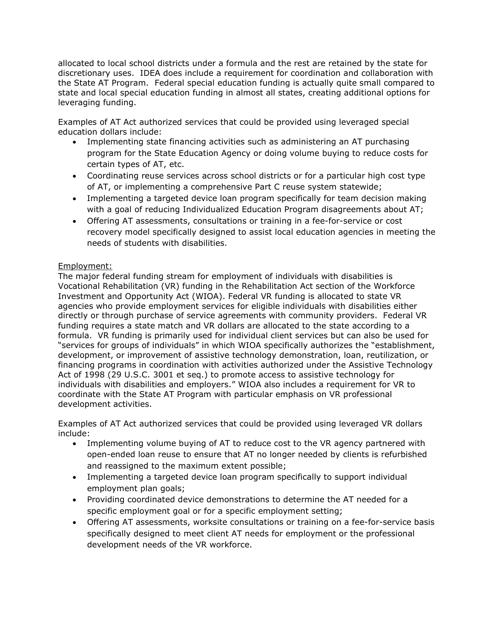allocated to local school districts under a formula and the rest are retained by the state for discretionary uses. IDEA does include a requirement for coordination and collaboration with the State AT Program. Federal special education funding is actually quite small compared to state and local special education funding in almost all states, creating additional options for leveraging funding.

Examples of AT Act authorized services that could be provided using leveraged special education dollars include:

- Implementing state financing activities such as administering an AT purchasing program for the State Education Agency or doing volume buying to reduce costs for certain types of AT, etc.
- Coordinating reuse services across school districts or for a particular high cost type of AT, or implementing a comprehensive Part C reuse system statewide;
- Implementing a targeted device loan program specifically for team decision making with a goal of reducing Individualized Education Program disagreements about AT;
- Offering AT assessments, consultations or training in a fee-for-service or cost recovery model specifically designed to assist local education agencies in meeting the needs of students with disabilities.

### Employment:

The major federal funding stream for employment of individuals with disabilities is Vocational Rehabilitation (VR) funding in the Rehabilitation Act section of the Workforce Investment and Opportunity Act (WIOA). Federal VR funding is allocated to state VR agencies who provide employment services for eligible individuals with disabilities either directly or through purchase of service agreements with community providers. Federal VR funding requires a state match and VR dollars are allocated to the state according to a formula. VR funding is primarily used for individual client services but can also be used for "services for groups of individuals" in which WIOA specifically authorizes the "establishment, development, or improvement of assistive technology demonstration, loan, reutilization, or financing programs in coordination with activities authorized under the Assistive Technology Act of 1998 (29 U.S.C. 3001 et seq.) to promote access to assistive technology for individuals with disabilities and employers." WIOA also includes a requirement for VR to coordinate with the State AT Program with particular emphasis on VR professional development activities.

Examples of AT Act authorized services that could be provided using leveraged VR dollars include:

- Implementing volume buying of AT to reduce cost to the VR agency partnered with open-ended loan reuse to ensure that AT no longer needed by clients is refurbished and reassigned to the maximum extent possible;
- Implementing a targeted device loan program specifically to support individual employment plan goals;
- Providing coordinated device demonstrations to determine the AT needed for a specific employment goal or for a specific employment setting;
- Offering AT assessments, worksite consultations or training on a fee-for-service basis specifically designed to meet client AT needs for employment or the professional development needs of the VR workforce.